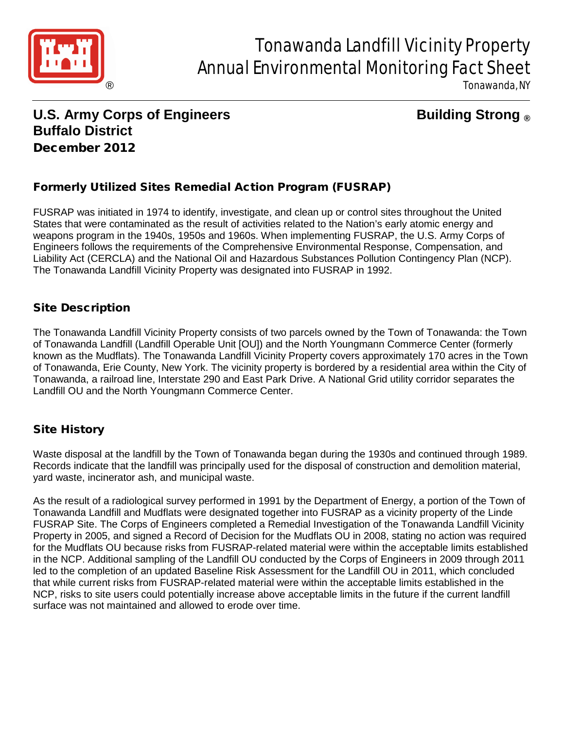

# Tonawanda Landfill Vicinity Property Annual Environmental Monitoring Fact Sheet

Tonawanda, NY

## **U.S. Army Corps of Engineers Building Strong ® Buffalo District** December 2012

### Formerly Utilized Sites Remedial Action Program (FUSRAP)

FUSRAP was initiated in 1974 to identify, investigate, and clean up or control sites throughout the United States that were contaminated as the result of activities related to the Nation's early atomic energy and weapons program in the 1940s, 1950s and 1960s. When implementing FUSRAP, the U.S. Army Corps of Engineers follows the requirements of the Comprehensive Environmental Response, Compensation, and Liability Act (CERCLA) and the National Oil and Hazardous Substances Pollution Contingency Plan (NCP). The Tonawanda Landfill Vicinity Property was designated into FUSRAP in 1992.

#### Site Description

The Tonawanda Landfill Vicinity Property consists of two parcels owned by the Town of Tonawanda: the Town of Tonawanda Landfill (Landfill Operable Unit [OU]) and the North Youngmann Commerce Center (formerly known as the Mudflats). The Tonawanda Landfill Vicinity Property covers approximately 170 acres in the Town of Tonawanda, Erie County, New York. The vicinity property is bordered by a residential area within the City of Tonawanda, a railroad line, Interstate 290 and East Park Drive. A National Grid utility corridor separates the Landfill OU and the North Youngmann Commerce Center.

#### Site History

Waste disposal at the landfill by the Town of Tonawanda began during the 1930s and continued through 1989. Records indicate that the landfill was principally used for the disposal of construction and demolition material, yard waste, incinerator ash, and municipal waste.

As the result of a radiological survey performed in 1991 by the Department of Energy, a portion of the Town of Tonawanda Landfill and Mudflats were designated together into FUSRAP as a vicinity property of the Linde FUSRAP Site. The Corps of Engineers completed a Remedial Investigation of the Tonawanda Landfill Vicinity Property in 2005, and signed a Record of Decision for the Mudflats OU in 2008, stating no action was required for the Mudflats OU because risks from FUSRAP-related material were within the acceptable limits established in the NCP. Additional sampling of the Landfill OU conducted by the Corps of Engineers in 2009 through 2011 led to the completion of an updated Baseline Risk Assessment for the Landfill OU in 2011, which concluded that while current risks from FUSRAP-related material were within the acceptable limits established in the NCP, risks to site users could potentially increase above acceptable limits in the future if the current landfill surface was not maintained and allowed to erode over time.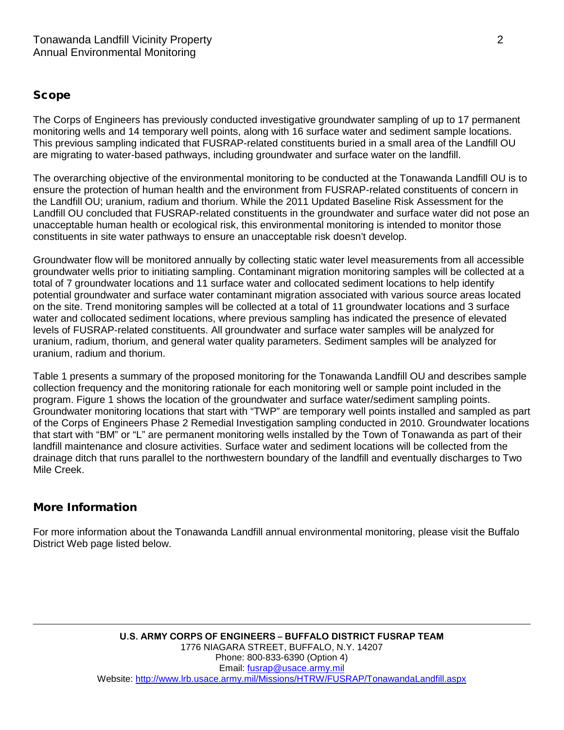#### Scope

The Corps of Engineers has previously conducted investigative groundwater sampling of up to 17 permanent monitoring wells and 14 temporary well points, along with 16 surface water and sediment sample locations. This previous sampling indicated that FUSRAP-related constituents buried in a small area of the Landfill OU are migrating to water-based pathways, including groundwater and surface water on the landfill.

The overarching objective of the environmental monitoring to be conducted at the Tonawanda Landfill OU is to ensure the protection of human health and the environment from FUSRAP-related constituents of concern in the Landfill OU; uranium, radium and thorium. While the 2011 Updated Baseline Risk Assessment for the Landfill OU concluded that FUSRAP-related constituents in the groundwater and surface water did not pose an unacceptable human health or ecological risk, this environmental monitoring is intended to monitor those constituents in site water pathways to ensure an unacceptable risk doesn't develop.

Groundwater flow will be monitored annually by collecting static water level measurements from all accessible groundwater wells prior to initiating sampling. Contaminant migration monitoring samples will be collected at a total of 7 groundwater locations and 11 surface water and collocated sediment locations to help identify potential groundwater and surface water contaminant migration associated with various source areas located on the site. Trend monitoring samples will be collected at a total of 11 groundwater locations and 3 surface water and collocated sediment locations, where previous sampling has indicated the presence of elevated levels of FUSRAP-related constituents. All groundwater and surface water samples will be analyzed for uranium, radium, thorium, and general water quality parameters. Sediment samples will be analyzed for uranium, radium and thorium.

Table 1 presents a summary of the proposed monitoring for the Tonawanda Landfill OU and describes sample collection frequency and the monitoring rationale for each monitoring well or sample point included in the program. Figure 1 shows the location of the groundwater and surface water/sediment sampling points. Groundwater monitoring locations that start with "TWP" are temporary well points installed and sampled as part of the Corps of Engineers Phase 2 Remedial Investigation sampling conducted in 2010. Groundwater locations that start with "BM" or "L" are permanent monitoring wells installed by the Town of Tonawanda as part of their landfill maintenance and closure activities. Surface water and sediment locations will be collected from the drainage ditch that runs parallel to the northwestern boundary of the landfill and eventually discharges to Two Mile Creek.

#### More Information

For more information about the Tonawanda Landfill annual environmental monitoring, please visit the Buffalo District Web page listed below.